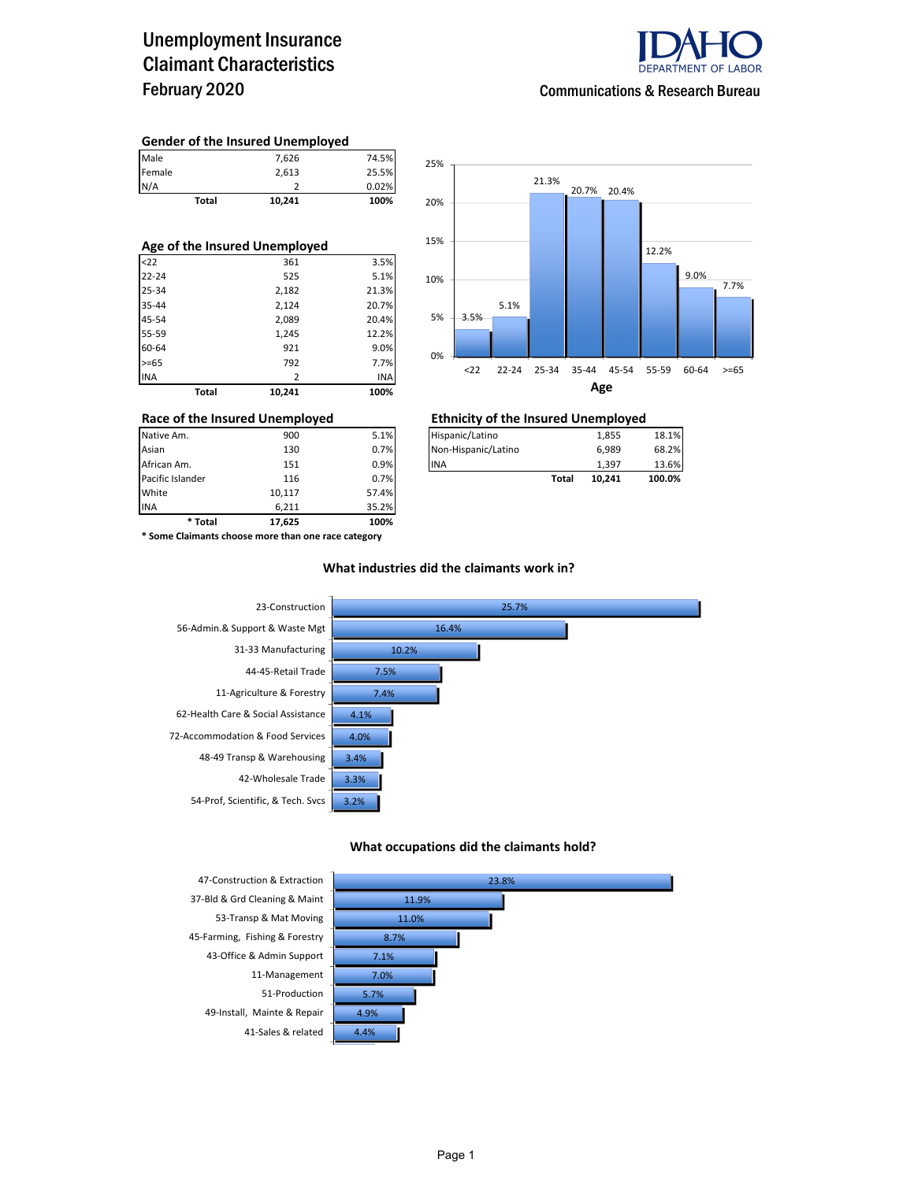### Unemployment Insurance Claimant Characteristics February 2020



#### **Gender of the Insured Unemployed**

| Male                          | 7,626           | 74.5% |  |  |  |  |  |  |
|-------------------------------|-----------------|-------|--|--|--|--|--|--|
| Female                        | 2,613           | 25.5% |  |  |  |  |  |  |
| N/A                           |                 | 0.02% |  |  |  |  |  |  |
|                               | Total<br>10.241 | 100%  |  |  |  |  |  |  |
|                               |                 |       |  |  |  |  |  |  |
|                               |                 |       |  |  |  |  |  |  |
| Age of the Insured Unemployed |                 |       |  |  |  |  |  |  |

|            | Total | 10,241 | 100%       |
|------------|-------|--------|------------|
| <b>INA</b> |       | 2      | <b>INA</b> |
| $>= 65$    |       | 792    | 7.7%       |
| 60-64      |       | 921    | 9.0%       |
| 55-59      |       | 1,245  | 12.2%      |
| 45-54      |       | 2,089  | 20.4%      |
| 35-44      |       | 2,124  | 20.7%      |
| 25-34      |       | 2,182  | 21.3%      |
| $22 - 24$  |       | 525    | 5.1%       |
| $22$       |       | 361    | 3.5%       |



# **Race of the Insured Unemployed**<br>
Native Am. **Ethnicity of the Insured Unemployed**<br> **Ethnicity of the Insured Unemployed**<br> **Ethnicity of the Insured Unemployed**

| Native Am.       | 900 | 5.1% | Hispanic/Latino     |       | 1.855  | 18.1%  |
|------------------|-----|------|---------------------|-------|--------|--------|
| Asian            | 130 | 0.7% | Non-Hispanic/Latino |       | 6.989  | 68.2%  |
| African Am.      | 151 | 0.9% | <b>INA</b>          |       | 1.397  | 13.6%  |
| Pacific Islander | 116 | 0.7% |                     | Total | 10.241 | 100.0% |

INA 6,211 35.2% **\* Total 17,625 100% \* Some Claimants choose more than one race category**

Pacific Islander **116** 0.7% **White** 0.7% **Total 10.117** 

10,117 57.4%

#### **What industries did the claimants work in?**



#### **What occupations did the claimants hold?**

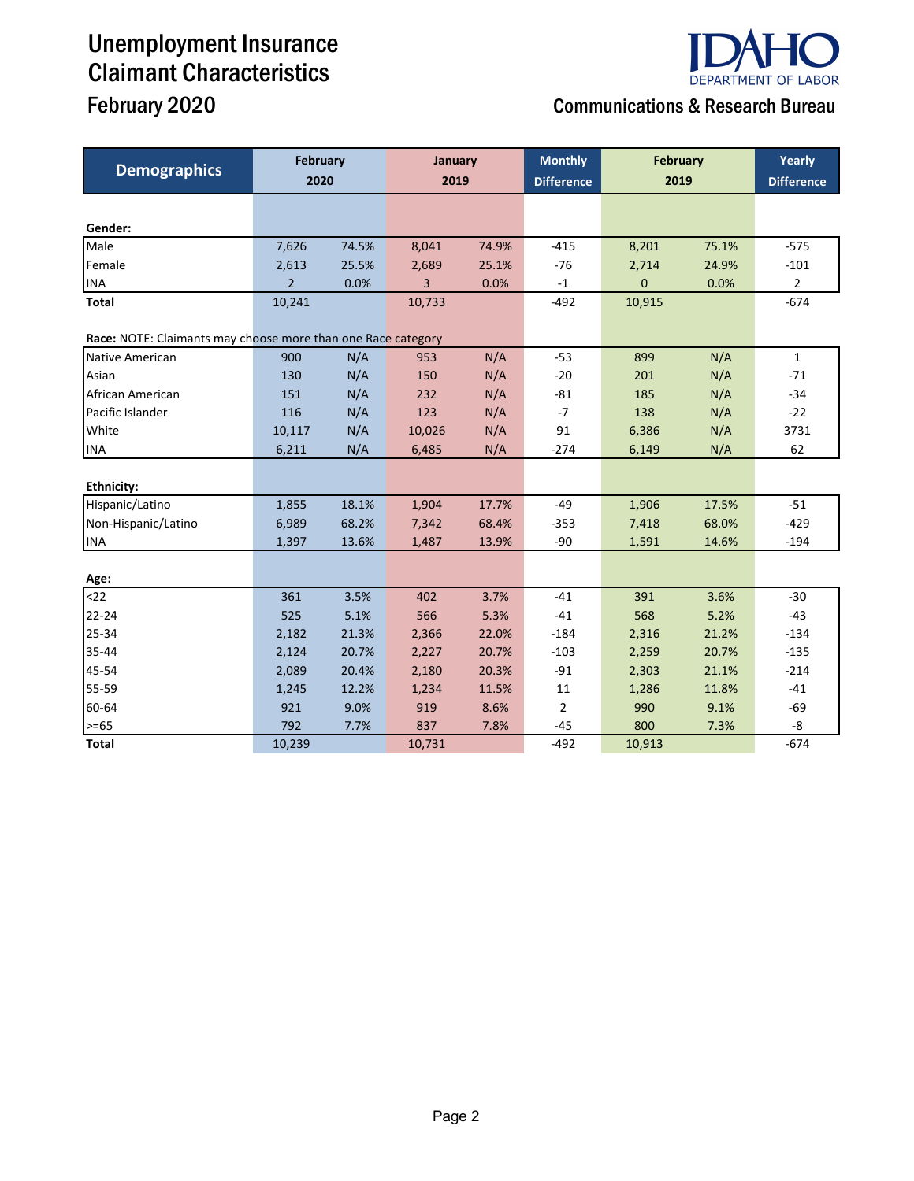# Unemployment Insurance Claimant Characteristics

## **DEPARTMENT OF LABOR** February 2020 **Communications & Research Bureau**

| <b>Demographics</b>                                          | <b>February</b> |       | January |       | <b>Monthly</b>    | <b>February</b> |       | Yearly            |
|--------------------------------------------------------------|-----------------|-------|---------|-------|-------------------|-----------------|-------|-------------------|
|                                                              | 2020            |       | 2019    |       | <b>Difference</b> | 2019            |       | <b>Difference</b> |
|                                                              |                 |       |         |       |                   |                 |       |                   |
| Gender:                                                      |                 |       |         |       |                   |                 |       |                   |
| Male                                                         | 7,626           | 74.5% | 8,041   | 74.9% | $-415$            | 8,201           | 75.1% | $-575$            |
| Female                                                       | 2,613           | 25.5% | 2,689   | 25.1% | $-76$             | 2,714           | 24.9% | $-101$            |
| <b>INA</b>                                                   | $\overline{2}$  | 0.0%  | 3       | 0.0%  | $-1$              | $\mathbf 0$     | 0.0%  |                   |
| Total                                                        | 10,241          |       | 10,733  |       | $-492$            | 10,915          |       | $-674$            |
| Race: NOTE: Claimants may choose more than one Race category |                 |       |         |       |                   |                 |       |                   |
| Native American                                              | 900             | N/A   | 953     | N/A   | $-53$             | 899             | N/A   | $\mathbf{1}$      |
| Asian                                                        | 130             | N/A   | 150     | N/A   | $-20$             | 201             | N/A   | $-71$             |
| African American                                             | 151             | N/A   | 232     | N/A   | $-81$             | 185             | N/A   | $-34$             |
| Pacific Islander                                             | 116             | N/A   | 123     | N/A   | $-7$              | 138             | N/A   | $-22$             |
| White                                                        | 10,117          | N/A   | 10,026  | N/A   | 91                | 6,386           | N/A   | 3731              |
| <b>INA</b>                                                   | 6,211           | N/A   | 6,485   | N/A   | $-274$            | 6,149           | N/A   | 62                |
|                                                              |                 |       |         |       |                   |                 |       |                   |
| <b>Ethnicity:</b>                                            |                 |       |         |       |                   |                 |       |                   |
| Hispanic/Latino                                              | 1,855           | 18.1% | 1,904   | 17.7% | $-49$             | 1,906           | 17.5% | $-51$             |
| Non-Hispanic/Latino                                          | 6,989           | 68.2% | 7,342   | 68.4% | $-353$            | 7,418           | 68.0% | $-429$            |
| <b>INA</b>                                                   | 1,397           | 13.6% | 1,487   | 13.9% | $-90$             | 1,591           | 14.6% | $-194$            |
|                                                              |                 |       |         |       |                   |                 |       |                   |
| Age:                                                         |                 |       |         |       |                   |                 |       |                   |
| $22$                                                         | 361             | 3.5%  | 402     | 3.7%  | $-41$             | 391             | 3.6%  | $-30$             |
| $22 - 24$                                                    | 525             | 5.1%  | 566     | 5.3%  | $-41$             | 568             | 5.2%  | $-43$             |
| 25-34                                                        | 2,182           | 21.3% | 2,366   | 22.0% | $-184$            | 2,316           | 21.2% | $-134$            |
| 35-44                                                        | 2,124           | 20.7% | 2,227   | 20.7% | $-103$            | 2,259           | 20.7% | $-135$            |
| 45-54                                                        | 2,089           | 20.4% | 2,180   | 20.3% | $-91$             | 2,303           | 21.1% | $-214$            |
| 55-59                                                        | 1,245           | 12.2% | 1,234   | 11.5% | 11                | 1,286           | 11.8% | $-41$             |
| 60-64                                                        | 921             | 9.0%  | 919     | 8.6%  | $\overline{2}$    | 990             | 9.1%  | $-69$             |
| $>= 65$                                                      | 792             | 7.7%  | 837     | 7.8%  | $-45$             | 800             | 7.3%  | -8                |
| <b>Total</b>                                                 | 10,239          |       | 10,731  |       | $-492$            | 10,913          |       | $-674$            |